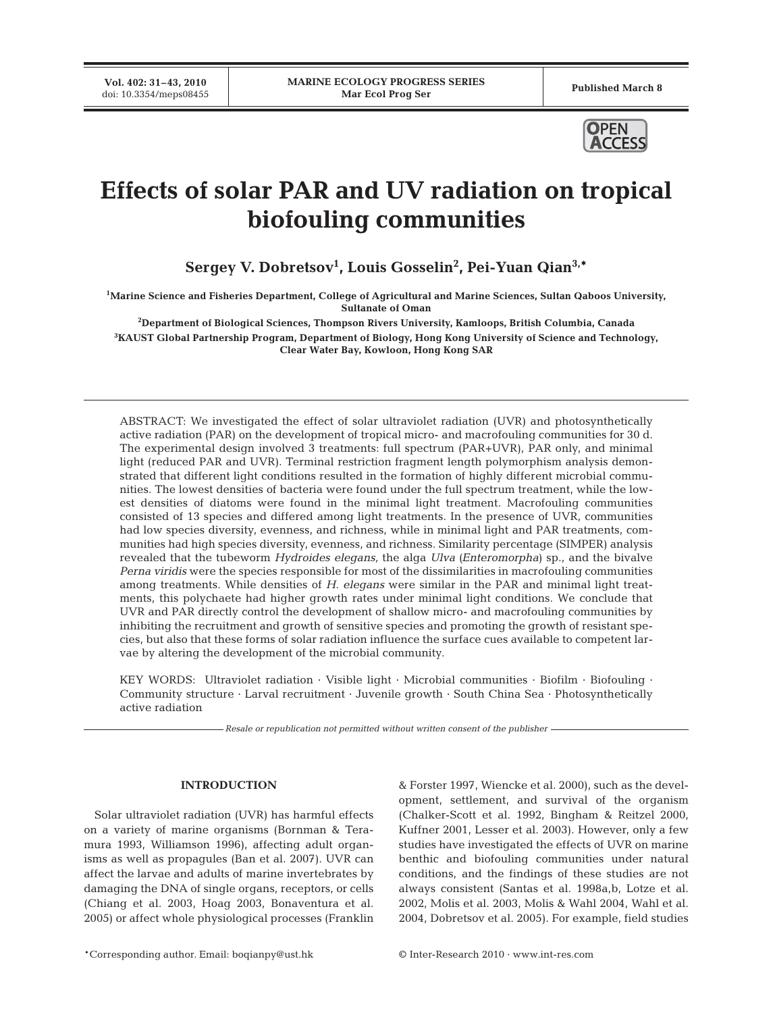**Vol. 402: 31–43, 2010**



# **Effects of solar PAR and UV radiation on tropical biofouling communities**

**Sergey V. Dobretsov1 , Louis Gosselin2 , Pei-Yuan Qian3,\***

**1 Marine Science and Fisheries Department, College of Agricultural and Marine Sciences, Sultan Qaboos University, Sultanate of Oman**

**2 Department of Biological Sciences, Thompson Rivers University, Kamloops, British Columbia, Canada 3 KAUST Global Partnership Program, Department of Biology, Hong Kong University of Science and Technology, Clear Water Bay, Kowloon, Hong Kong SAR**

ABSTRACT: We investigated the effect of solar ultraviolet radiation (UVR) and photosynthetically active radiation (PAR) on the development of tropical micro- and macrofouling communities for 30 d. The experimental design involved 3 treatments: full spectrum (PAR+UVR), PAR only, and minimal light (reduced PAR and UVR). Terminal restriction fragment length polymorphism analysis demonstrated that different light conditions resulted in the formation of highly different microbial communities. The lowest densities of bacteria were found under the full spectrum treatment, while the lowest densities of diatoms were found in the minimal light treatment. Macrofouling communities consisted of 13 species and differed among light treatments. In the presence of UVR, communities had low species diversity, evenness, and richness, while in minimal light and PAR treatments, communities had high species diversity, evenness, and richness. Similarity percentage (SIMPER) analysis revealed that the tubeworm *Hydroides elegans,* the alga *Ulva (Enteromorpha*) sp., and the bivalve *Perna viridis* were the species responsible for most of the dissimilarities in macrofouling communities among treatments. While densities of *H. elegans* were similar in the PAR and minimal light treatments, this polychaete had higher growth rates under minimal light conditions. We conclude that UVR and PAR directly control the development of shallow micro- and macrofouling communities by inhibiting the recruitment and growth of sensitive species and promoting the growth of resistant species, but also that these forms of solar radiation influence the surface cues available to competent larvae by altering the development of the microbial community.

KEY WORDS: Ultraviolet radiation · Visible light · Microbial communities · Biofilm · Biofouling · Community structure · Larval recruitment · Juvenile growth · South China Sea · Photosynthetically active radiation

*Resale or republication not permitted without written consent of the publisher*

# **INTRODUCTION**

Solar ultraviolet radiation (UVR) has harmful effects on a variety of marine organisms (Bornman & Teramura 1993, Williamson 1996), affecting adult organisms as well as propagules (Ban et al. 2007). UVR can affect the larvae and adults of marine invertebrates by damaging the DNA of single organs, receptors, or cells (Chiang et al. 2003, Hoag 2003, Bonaventura et al. 2005) or affect whole physiological processes (Franklin & Forster 1997, Wiencke et al. 2000), such as the development, settlement, and survival of the organism (Chalker-Scott et al. 1992, Bingham & Reitzel 2000, Kuffner 2001, Lesser et al. 2003). However, only a few studies have investigated the effects of UVR on marine benthic and biofouling communities under natural conditions, and the findings of these studies are not always consistent (Santas et al. 1998a,b, Lotze et al. 2002, Molis et al. 2003, Molis & Wahl 2004, Wahl et al. 2004, Dobretsov et al. 2005). For example, field studies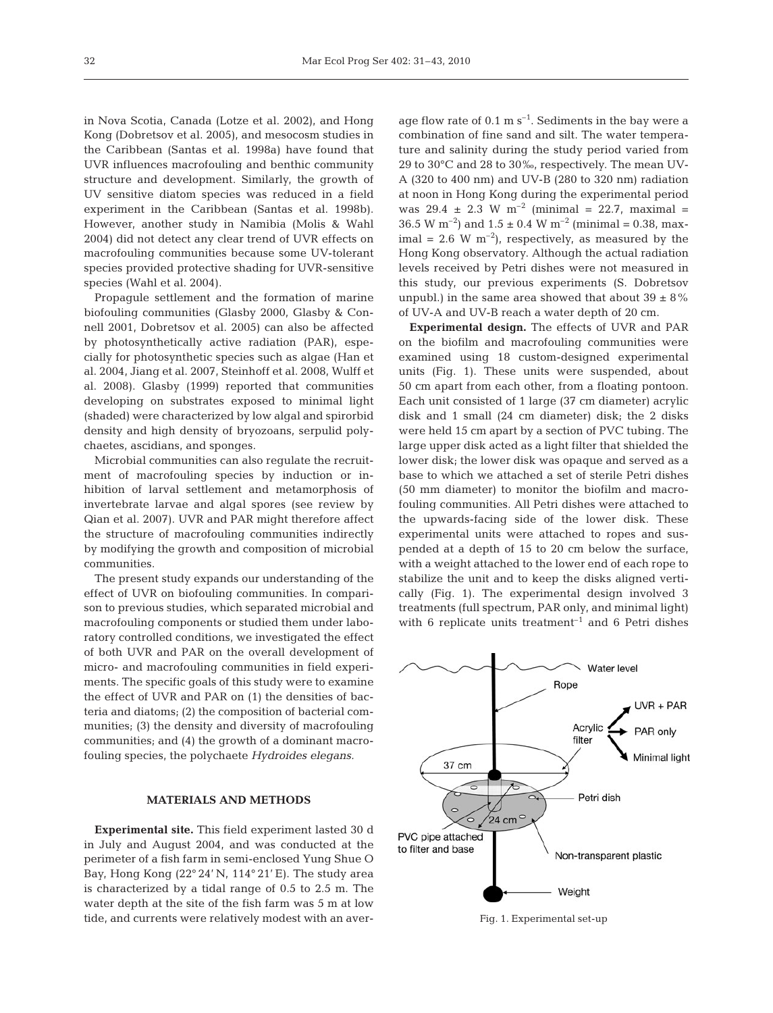in Nova Scotia, Canada (Lotze et al. 2002), and Hong Kong (Dobretsov et al. 2005), and mesocosm studies in the Caribbean (Santas et al. 1998a) have found that UVR influences macrofouling and benthic community structure and development. Similarly, the growth of UV sensitive diatom species was reduced in a field experiment in the Caribbean (Santas et al. 1998b). However, another study in Namibia (Molis & Wahl 2004) did not detect any clear trend of UVR effects on macrofouling communities because some UV-tolerant species provided protective shading for UVR-sensitive species (Wahl et al. 2004).

Propagule settlement and the formation of marine biofouling communities (Glasby 2000, Glasby & Connell 2001, Dobretsov et al. 2005) can also be affected by photosynthetically active radiation (PAR), especially for photosynthetic species such as algae (Han et al. 2004, Jiang et al. 2007, Steinhoff et al. 2008, Wulff et al. 2008). Glasby (1999) reported that communities developing on substrates exposed to minimal light (shaded) were characterized by low algal and spirorbid density and high density of bryozoans, serpulid polychaetes, ascidians, and sponges.

Microbial communities can also regulate the recruitment of macrofouling species by induction or inhibition of larval settlement and metamorphosis of invertebrate larvae and algal spores (see review by Qian et al. 2007). UVR and PAR might therefore affect the structure of macrofouling communities indirectly by modifying the growth and composition of microbial communities.

The present study expands our understanding of the effect of UVR on biofouling communities. In comparison to previous studies, which separated microbial and macrofouling components or studied them under laboratory controlled conditions, we investigated the effect of both UVR and PAR on the overall development of micro- and macrofouling communities in field experiments. The specific goals of this study were to examine the effect of UVR and PAR on (1) the densities of bacteria and diatoms; (2) the composition of bacterial communities; (3) the density and diversity of macrofouling communities; and (4) the growth of a dominant macrofouling species, the polychaete *Hydroides elegans.*

# **MATERIALS AND METHODS**

**Experimental site.** This field experiment lasted 30 d in July and August 2004, and was conducted at the perimeter of a fish farm in semi-enclosed Yung Shue O Bay, Hong Kong (22° 24' N, 114° 21' E). The study area is characterized by a tidal range of 0.5 to 2.5 m. The water depth at the site of the fish farm was 5 m at low tide, and currents were relatively modest with an average flow rate of  $0.1 \text{ m s}^{-1}$ . Sediments in the bay were a combination of fine sand and silt. The water temperature and salinity during the study period varied from 29 to 30°C and 28 to 30‰, respectively. The mean UV-A (320 to 400 nm) and UV-B (280 to 320 nm) radiation at noon in Hong Kong during the experimental period was  $29.4 \pm 2.3 \text{ W m}^{-2}$  (minimal = 22.7, maximal = 36.5 W m<sup>-2</sup>) and  $1.5 \pm 0.4$  W m<sup>-2</sup> (minimal = 0.38, maximal = 2.6 W  $m^{-2}$ ), respectively, as measured by the Hong Kong observatory. Although the actual radiation levels received by Petri dishes were not measured in this study, our previous experiments (S. Dobretsov unpubl.) in the same area showed that about  $39 \pm 8\%$ of UV-A and UV-B reach a water depth of 20 cm.

**Experimental design.** The effects of UVR and PAR on the biofilm and macrofouling communities were examined using 18 custom-designed experimental units (Fig. 1). These units were suspended, about 50 cm apart from each other, from a floating pontoon. Each unit consisted of 1 large (37 cm diameter) acrylic disk and 1 small (24 cm diameter) disk; the 2 disks were held 15 cm apart by a section of PVC tubing. The large upper disk acted as a light filter that shielded the lower disk; the lower disk was opaque and served as a base to which we attached a set of sterile Petri dishes (50 mm diameter) to monitor the biofilm and macrofouling communities. All Petri dishes were attached to the upwards-facing side of the lower disk. These experimental units were attached to ropes and suspended at a depth of 15 to 20 cm below the surface, with a weight attached to the lower end of each rope to stabilize the unit and to keep the disks aligned vertically (Fig. 1). The experimental design involved 3 treatments (full spectrum, PAR only, and minimal light) with 6 replicate units treatment<sup>-1</sup> and 6 Petri dishes



Fig. 1. Experimental set-up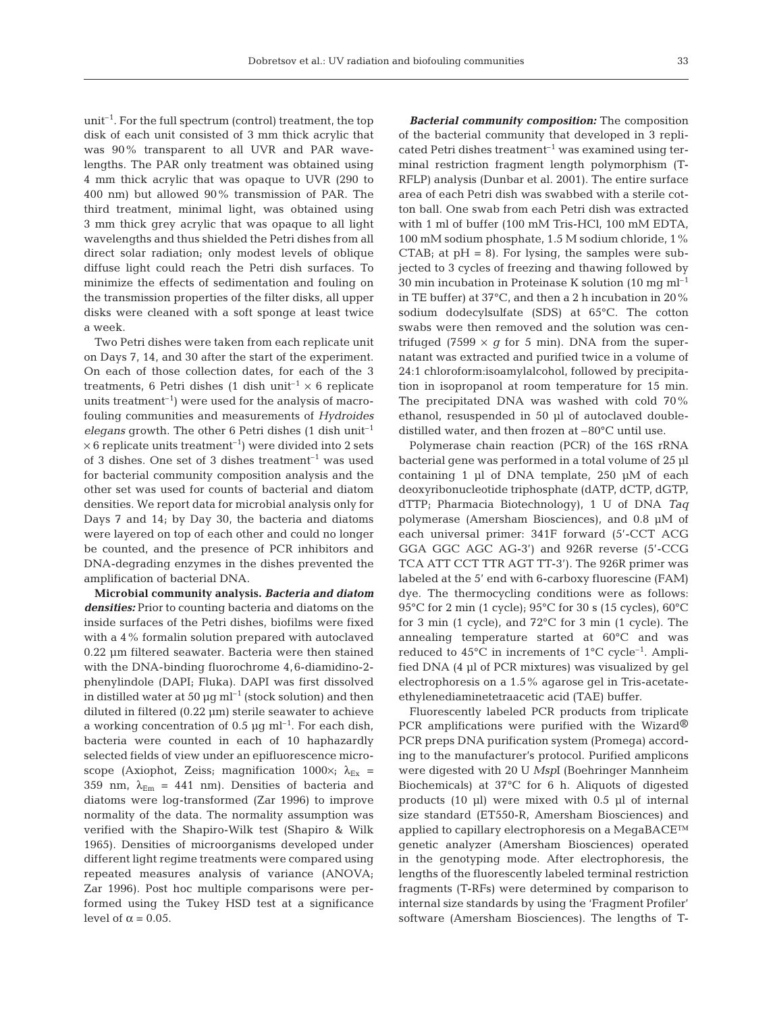unit–1. For the full spectrum (control) treatment, the top disk of each unit consisted of 3 mm thick acrylic that was 90% transparent to all UVR and PAR wavelengths. The PAR only treatment was obtained using 4 mm thick acrylic that was opaque to UVR (290 to 400 nm) but allowed 90% transmission of PAR. The third treatment, minimal light, was obtained using 3 mm thick grey acrylic that was opaque to all light wavelengths and thus shielded the Petri dishes from all direct solar radiation; only modest levels of oblique diffuse light could reach the Petri dish surfaces. To minimize the effects of sedimentation and fouling on the transmission properties of the filter disks, all upper disks were cleaned with a soft sponge at least twice a week.

Two Petri dishes were taken from each replicate unit on Days 7, 14, and 30 after the start of the experiment. On each of those collection dates, for each of the 3 treatments, 6 Petri dishes (1 dish unit<sup>-1</sup>  $\times$  6 replicate units treatment<sup>-1</sup>) were used for the analysis of macrofouling communities and measurements of *Hydroides elegans* growth. The other 6 Petri dishes (1 dish unit–1  $\times$  6 replicate units treatment<sup>-1</sup>) were divided into 2 sets of 3 dishes. One set of 3 dishes treatment<sup>-1</sup> was used for bacterial community composition analysis and the other set was used for counts of bacterial and diatom densities. We report data for microbial analysis only for Days 7 and 14; by Day 30, the bacteria and diatoms were layered on top of each other and could no longer be counted, and the presence of PCR inhibitors and DNA-degrading enzymes in the dishes prevented the amplification of bacterial DNA.

**Microbial community analysis.** *Bacteria and diatom densities:* Prior to counting bacteria and diatoms on the inside surfaces of the Petri dishes, biofilms were fixed with a 4% formalin solution prepared with autoclaved 0.22 µm filtered seawater. Bacteria were then stained with the DNA-binding fluorochrome 4,6-diamidino-2 phenylindole (DAPI; Fluka). DAPI was first dissolved in distilled water at 50  $\mu$ g ml<sup>-1</sup> (stock solution) and then diluted in filtered (0.22 µm) sterile seawater to achieve a working concentration of 0.5  $\mu$ g ml<sup>-1</sup>. For each dish, bacteria were counted in each of 10 haphazardly selected fields of view under an epifluorescence microscope (Axiophot, Zeiss; magnification 1000 $\times$ ;  $\lambda_{Ex}$  = 359 nm,  $\lambda_{\text{Em}}$  = 441 nm). Densities of bacteria and diatoms were log-transformed (Zar 1996) to improve normality of the data. The normality assumption was verified with the Shapiro-Wilk test (Shapiro & Wilk 1965). Densities of microorganisms developed under different light regime treatments were compared using repeated measures analysis of variance (ANOVA; Zar 1996). Post hoc multiple comparisons were performed using the Tukey HSD test at a significance level of  $α = 0.05$ .

*Bacterial community composition:* The composition of the bacterial community that developed in 3 replicated Petri dishes treatment<sup>-1</sup> was examined using terminal restriction fragment length polymorphism (T-RFLP) analysis (Dunbar et al. 2001). The entire surface area of each Petri dish was swabbed with a sterile cotton ball. One swab from each Petri dish was extracted with 1 ml of buffer (100 mM Tris-HCl, 100 mM EDTA, 100 mM sodium phosphate, 1.5 M sodium chloride, 1% CTAB; at  $pH = 8$ ). For lysing, the samples were subjected to 3 cycles of freezing and thawing followed by 30 min incubation in Proteinase K solution (10 mg ml<sup>-1</sup> in TE buffer) at 37°C, and then a 2 h incubation in 20% sodium dodecylsulfate (SDS) at 65°C. The cotton swabs were then removed and the solution was centrifuged (7599  $\times$  *g* for 5 min). DNA from the supernatant was extracted and purified twice in a volume of 24:1 chloroform:isoamylalcohol, followed by precipitation in isopropanol at room temperature for 15 min. The precipitated DNA was washed with cold 70% ethanol, resuspended in 50 µl of autoclaved doubledistilled water, and then frozen at –80°C until use.

Polymerase chain reaction (PCR) of the 16S rRNA bacterial gene was performed in a total volume of 25 µl containing 1 µl of DNA template, 250 µM of each deoxyribonucleotide triphosphate (dATP, dCTP, dGTP, dTTP; Pharmacia Biotechnology), 1 U of DNA *Taq* polymerase (Amersham Biosciences), and 0.8 µM of each universal primer: 341F forward (5'-CCT ACG GGA GGC AGC AG-3') and 926R reverse (5'-CCG TCA ATT CCT TTR AGT TT-3'). The 926R primer was labeled at the 5' end with 6-carboxy fluorescine (FAM) dye. The thermocycling conditions were as follows: 95°C for 2 min (1 cycle); 95°C for 30 s (15 cycles), 60°C for 3 min (1 cycle), and 72°C for 3 min (1 cycle). The annealing temperature started at 60°C and was reduced to  $45^{\circ}$ C in increments of  $1^{\circ}$ C cycle<sup>-1</sup>. Amplified DNA (4 µl of PCR mixtures) was visualized by gel electrophoresis on a 1.5% agarose gel in Tris-acetateethylenediaminetetraacetic acid (TAE) buffer.

Fluorescently labeled PCR products from triplicate PCR amplifications were purified with the Wizard<sup>®</sup> PCR preps DNA purification system (Promega) according to the manufacturer's protocol. Purified amplicons were digested with 20 U *Msp*I (Boehringer Mannheim Biochemicals) at 37°C for 6 h. Aliquots of digested products (10 µl) were mixed with 0.5 µl of internal size standard (ET550-R, Amersham Biosciences) and applied to capillary electrophoresis on a MegaBACE™ genetic analyzer (Amersham Biosciences) operated in the genotyping mode. After electrophoresis, the lengths of the fluorescently labeled terminal restriction fragments (T-RFs) were determined by comparison to internal size standards by using the 'Fragment Profiler' software (Amersham Biosciences). The lengths of T-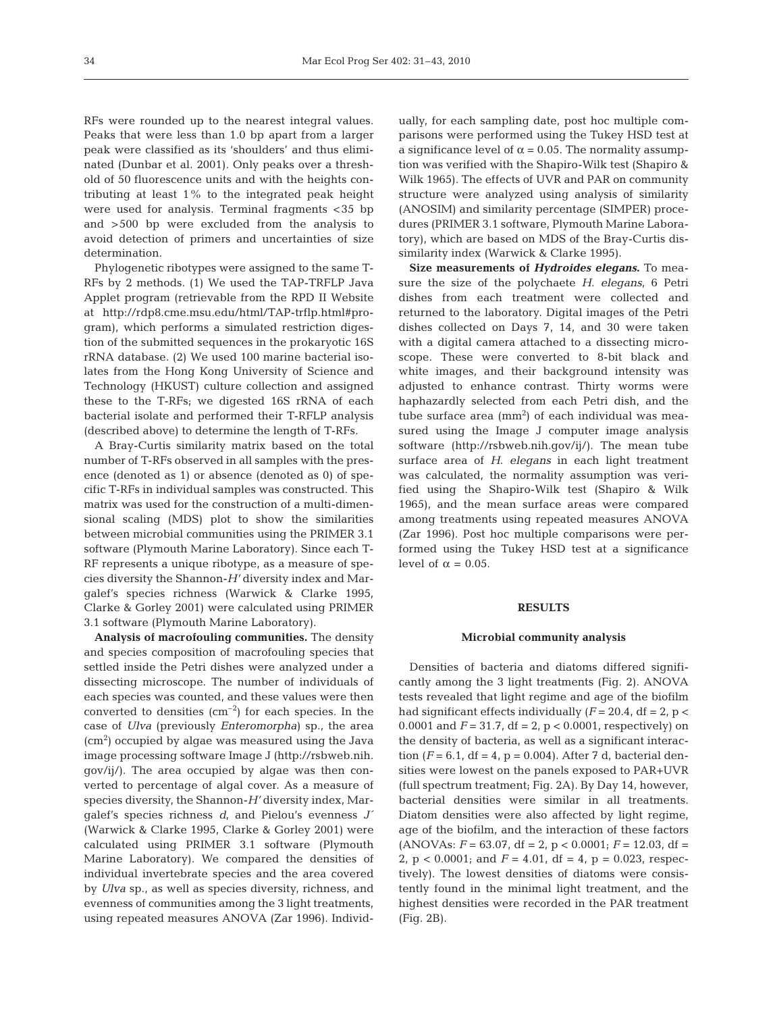RFs were rounded up to the nearest integral values. Peaks that were less than 1.0 bp apart from a larger peak were classified as its 'shoulders' and thus eliminated (Dunbar et al. 2001). Only peaks over a threshold of 50 fluorescence units and with the heights contributing at least 1% to the integrated peak height were used for analysis. Terminal fragments <35 bp and >500 bp were excluded from the analysis to avoid detection of primers and uncertainties of size determination.

Phylogenetic ribotypes were assigned to the same T-RFs by 2 methods. (1) We used the TAP-TRFLP Java Applet program (retrievable from the RPD II Website at http://rdp8.cme.msu.edu/html/TAP-trflp.html#program), which performs a simulated restriction digestion of the submitted sequences in the prokaryotic 16S rRNA database. (2) We used 100 marine bacterial isolates from the Hong Kong University of Science and Technology (HKUST) culture collection and assigned these to the T-RFs; we digested 16S rRNA of each bacterial isolate and performed their T-RFLP analysis (described above) to determine the length of T-RFs.

A Bray-Curtis similarity matrix based on the total number of T-RFs observed in all samples with the presence (denoted as 1) or absence (denoted as 0) of specific T-RFs in individual samples was constructed. This matrix was used for the construction of a multi-dimensional scaling (MDS) plot to show the similarities between microbial communities using the PRIMER 3.1 software (Plymouth Marine Laboratory). Since each T-RF represents a unique ribotype, as a measure of species diversity the Shannon-*H'* diversity index and Margalef's species richness (Warwick & Clarke 1995, Clarke & Gorley 2001) were calculated using PRIMER 3.1 software (Plymouth Marine Laboratory).

**Analysis of macrofouling communities.** The density and species composition of macrofouling species that settled inside the Petri dishes were analyzed under a dissecting microscope. The number of individuals of each species was counted, and these values were then converted to densities  $\rm (cm^{-2})$  for each species. In the case of *Ulva* (previously *Enteromorpha*) sp., the area  $\rm (cm^2)$  occupied by algae was measured using the Java image processing software Image J (http://rsbweb.nih. gov/ij/). The area occupied by algae was then converted to percentage of algal cover. As a measure of species diversity, the Shannon-*H'* diversity index, Margalef's species richness *d*, and Pielou's evenness *J*´ (Warwick & Clarke 1995, Clarke & Gorley 2001) were calculated using PRIMER 3.1 software (Plymouth Marine Laboratory). We compared the densities of individual invertebrate species and the area covered by *Ulva* sp., as well as species diversity, richness, and evenness of communities among the 3 light treatments, using repeated measures ANOVA (Zar 1996). Individually, for each sampling date, post hoc multiple comparisons were performed using the Tukey HSD test at a significance level of  $\alpha = 0.05$ . The normality assumption was verified with the Shapiro-Wilk test (Shapiro & Wilk 1965). The effects of UVR and PAR on community structure were analyzed using analysis of similarity (ANOSIM) and similarity percentage (SIMPER) procedures (PRIMER 3.1 software, Plymouth Marine Laboratory), which are based on MDS of the Bray-Curtis dissimilarity index (Warwick & Clarke 1995).

**Size measurements of** *Hydroides elegans***.** To measure the size of the polychaete *H. elegans*, 6 Petri dishes from each treatment were collected and returned to the laboratory. Digital images of the Petri dishes collected on Days 7, 14, and 30 were taken with a digital camera attached to a dissecting microscope. These were converted to 8-bit black and white images, and their background intensity was adjusted to enhance contrast. Thirty worms were haphazardly selected from each Petri dish, and the tube surface area  $\text{(mm)}^2$ ) of each individual was measured using the Image J computer image analysis software (http://rsbweb.nih.gov/ij/). The mean tube surface area of *H. elegans* in each light treatment was calculated, the normality assumption was verified using the Shapiro-Wilk test (Shapiro & Wilk 1965), and the mean surface areas were compared among treatments using repeated measures ANOVA (Zar 1996). Post hoc multiple comparisons were performed using the Tukey HSD test at a significance level of  $\alpha = 0.05$ .

## **RESULTS**

#### **Microbial community analysis**

Densities of bacteria and diatoms differed significantly among the 3 light treatments (Fig. 2). ANOVA tests revealed that light regime and age of the biofilm had significant effects individually  $(F = 20.4, df = 2, p <$ 0.0001 and  $F = 31.7$ , df = 2, p < 0.0001, respectively) on the density of bacteria, as well as a significant interaction ( $F = 6.1$ , df = 4, p = 0.004). After 7 d, bacterial densities were lowest on the panels exposed to PAR+UVR (full spectrum treatment; Fig. 2A). By Day 14, however, bacterial densities were similar in all treatments. Diatom densities were also affected by light regime, age of the biofilm, and the interaction of these factors  $(ANOVAs: F = 63.07, df = 2, p < 0.0001; F = 12.03, df =$ 2,  $p < 0.0001$ ; and  $F = 4.01$ , df = 4,  $p = 0.023$ , respectively). The lowest densities of diatoms were consistently found in the minimal light treatment, and the highest densities were recorded in the PAR treatment (Fig. 2B).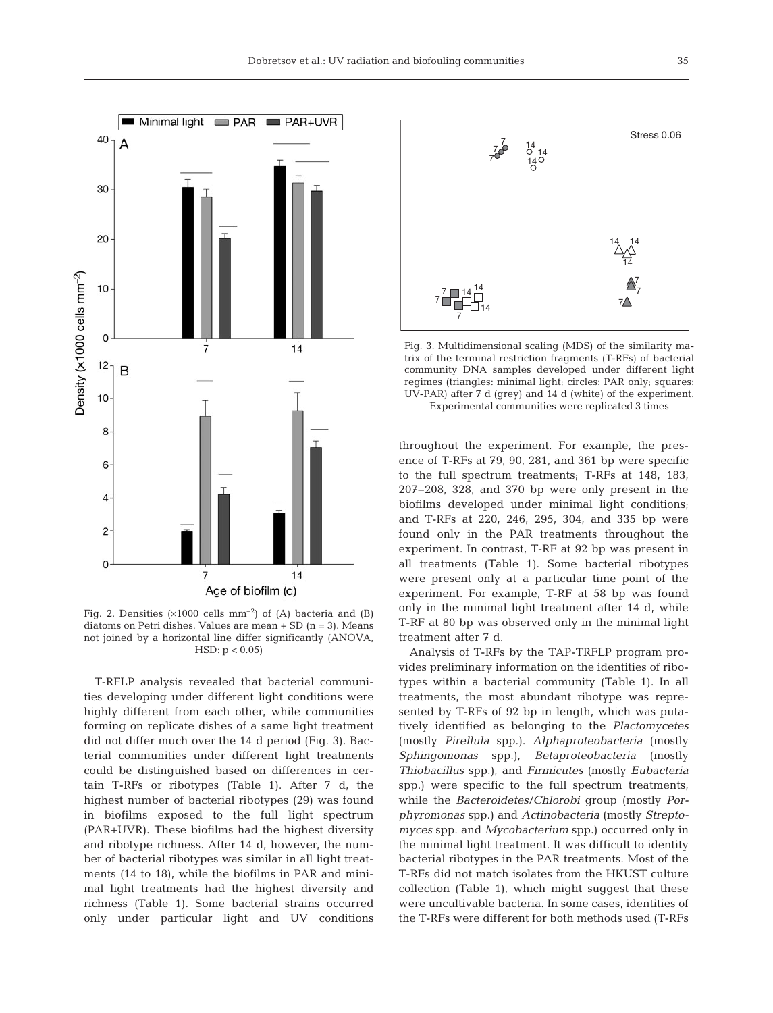

Fig. 2. Densities  $(x1000 \text{ cells mm}^{-2})$  of (A) bacteria and (B) diatoms on Petri dishes. Values are mean  $+$  SD (n = 3). Means not joined by a horizontal line differ significantly (ANOVA,  $HSD: p < 0.05$ 

T-RFLP analysis revealed that bacterial communities developing under different light conditions were highly different from each other, while communities forming on replicate dishes of a same light treatment did not differ much over the 14 d period (Fig. 3). Bacterial communities under different light treatments could be distinguished based on differences in certain T-RFs or ribotypes (Table 1). After 7 d, the highest number of bacterial ribotypes (29) was found in biofilms exposed to the full light spectrum (PAR+UVR). These biofilms had the highest diversity and ribotype richness. After 14 d, however, the number of bacterial ribotypes was similar in all light treatments (14 to 18), while the biofilms in PAR and minimal light treatments had the highest diversity and richness (Table 1). Some bacterial strains occurred only under particular light and UV conditions



Fig. 3. Multidimensional scaling (MDS) of the similarity matrix of the terminal restriction fragments (T-RFs) of bacterial community DNA samples developed under different light regimes (triangles: minimal light; circles: PAR only; squares: UV-PAR) after 7 d (grey) and 14 d (white) of the experiment.

Experimental communities were replicated 3 times

throughout the experiment. For example, the presence of T-RFs at 79, 90, 281, and 361 bp were specific to the full spectrum treatments; T-RFs at 148, 183, 207–208, 328, and 370 bp were only present in the biofilms developed under minimal light conditions; and T-RFs at 220, 246, 295, 304, and 335 bp were found only in the PAR treatments throughout the experiment. In contrast, T-RF at 92 bp was present in all treatments (Table 1). Some bacterial ribotypes were present only at a particular time point of the experiment. For example, T-RF at 58 bp was found only in the minimal light treatment after 14 d, while T-RF at 80 bp was observed only in the minimal light treatment after 7 d.

Analysis of T-RFs by the TAP-TRFLP program provides preliminary information on the identities of ribotypes within a bacterial community (Table 1). In all treatments, the most abundant ribotype was represented by T-RFs of 92 bp in length, which was putatively identified as belonging to the *Plactomycetes* (mostly *Pirellula* spp.). *Alphaproteobacteria* (mostly *Sphingomonas* spp.), *Betaproteobacteria* (mostly *Thiobacillus* spp.), and *Firmicutes* (mostly *Eubacteria* spp.) were specific to the full spectrum treatments, while the *Bacteroidetes/Chlorobi* group (mostly *Porphyromonas* spp.) and *Actinobacteria* (mostly *Streptomyces* spp. and *Mycobacterium* spp.) occurred only in the minimal light treatment. It was difficult to identity bacterial ribotypes in the PAR treatments. Most of the T-RFs did not match isolates from the HKUST culture collection (Table 1), which might suggest that these were uncultivable bacteria. In some cases, identities of the T-RFs were different for both methods used (T-RFs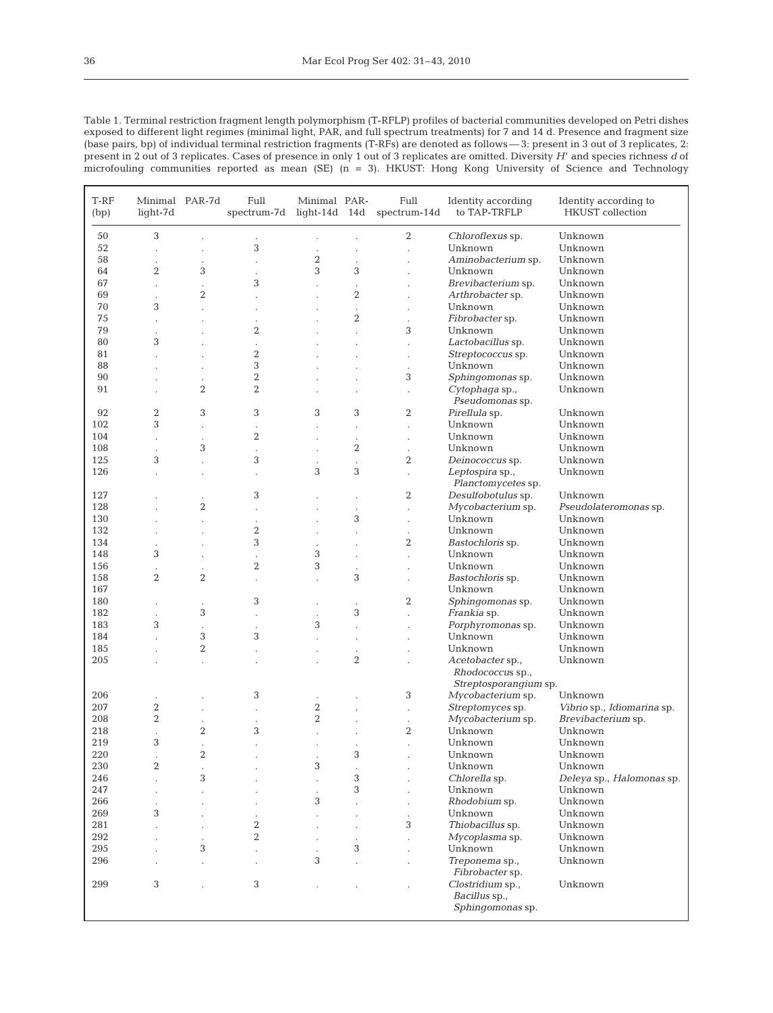| Table 1. Terminal restriction fragment length polymorphism (T-RFLP) profiles of bacterial communities developed on Petri dishes        |
|----------------------------------------------------------------------------------------------------------------------------------------|
| exposed to different light regimes (minimal light, PAR, and full spectrum treatments) for 7 and 14 d. Presence and fragment size       |
| (base pairs, bp) of individual terminal restriction fragments (T-RFs) are denoted as follows — 3: present in 3 out of 3 replicates, 2: |
| present in 2 out of 3 replicates. Cases of presence in only 1 out of 3 replicates are omitted. Diversity H' and species richness d of  |
| microfouling communities reported as mean $(SE)$ (n = 3). HKUST: Hong Kong University of Science and Technology                        |

| T-RF<br>(bp) | Minimal PAR-7d<br>light-7d |                  | Full<br>spectrum-7d  | Minimal PAR-<br>light-14d $14d$ |                      | Full<br>Identity according<br>to TAP-TRFLP<br>spectrum-14d |                                                               | Identity according to<br><b>HKUST</b> collection |  |
|--------------|----------------------------|------------------|----------------------|---------------------------------|----------------------|------------------------------------------------------------|---------------------------------------------------------------|--------------------------------------------------|--|
| 50           | 3                          |                  |                      |                                 |                      | 2                                                          | Chloroflexus sp.                                              | Unknown                                          |  |
| 52           |                            |                  | 3                    |                                 |                      |                                                            | Unknown                                                       | Unknown                                          |  |
| 58           | $\ddot{\phantom{0}}$       |                  |                      | $\overline{2}$                  |                      |                                                            | Aminobacterium sp.                                            | Unknown                                          |  |
| 64           | $\overline{2}$             | 3                |                      | 3                               | 3                    |                                                            | Unknown                                                       | Unknown                                          |  |
| 67           | $\ddot{\phantom{0}}$       | $\cdot$          | 3                    |                                 |                      |                                                            | Brevibacterium sp.                                            | Unknown                                          |  |
| 69           |                            | $\overline{2}$   |                      |                                 | $\boldsymbol{2}$     |                                                            | Arthrobacter sp.                                              | Unknown                                          |  |
| 70           | 3                          |                  |                      |                                 | $\cdot$              | $\ddot{\phantom{0}}$                                       | Unknown                                                       | Unknown                                          |  |
| 75           | $\cdot$                    | $\cdot$          | $\cdot$              |                                 | $\overline{2}$       | $\ddot{\phantom{0}}$                                       | Fibrobacter sp.                                               | Unknown                                          |  |
| 79           |                            |                  | $\overline{2}$       |                                 |                      | 3                                                          | Unknown                                                       | Unknown                                          |  |
| 80           | 3                          |                  |                      |                                 |                      |                                                            | Lactobacillus sp.                                             | Unknown                                          |  |
| 81           |                            |                  | 2                    |                                 |                      | $\ddot{\phantom{0}}$                                       | Streptococcus sp.                                             | Unknown                                          |  |
| 88           | $\cdot$                    |                  | 3                    |                                 |                      | $\ddot{\phantom{0}}$                                       | Unknown                                                       | Unknown                                          |  |
| 90           |                            |                  | $\overline{2}$       |                                 |                      | 3                                                          | Sphingomonas sp.                                              | Unknown                                          |  |
| 91           |                            | $\overline{2}$   | $\overline{2}$       |                                 |                      | $\ddot{\phantom{0}}$                                       | Cytophaga sp.,<br>Pseudomonas sp.                             | Unknown                                          |  |
| 92           | $\overline{2}$             | 3                | 3                    | 3                               | 3                    | $\overline{2}$                                             | Pirellula sp.                                                 | Unknown                                          |  |
| 102          | 3                          |                  | $\cdot$              |                                 | $\ddot{\phantom{a}}$ | $\ddot{\phantom{0}}$                                       | Unknown                                                       | Unknown                                          |  |
| 104          | $\cdot$                    |                  | $\overline{2}$       |                                 |                      | $\ddot{\phantom{0}}$                                       | Unknown                                                       | Unknown                                          |  |
| 108          |                            | 3                |                      |                                 | $\boldsymbol{2}$     | $\ddot{\phantom{0}}$                                       | Unknown                                                       | Unknown                                          |  |
| 125          | 3                          |                  | 3                    |                                 | $\ddot{\phantom{0}}$ | $\overline{2}$                                             | Deinococcus sp.                                               | Unknown                                          |  |
| 126          | $\cdot$                    | $\cdot$          | $\cdot$              | 3                               | 3                    | $\ddot{\phantom{a}}$                                       | Leptospira sp.,<br>Planctomycetes sp.                         | Unknown                                          |  |
| 127          |                            | $\cdot$          | 3                    |                                 |                      | $\overline{2}$                                             | Desulfobotulus sp.                                            | Unknown                                          |  |
| 128          |                            | $\boldsymbol{2}$ |                      |                                 | $\cdot$              | $\ddot{\phantom{0}}$                                       | Mycobacterium sp.                                             | Pseudolateromonas sp.                            |  |
| 130          |                            |                  |                      |                                 | 3                    | $\ddot{\phantom{0}}$                                       | Unknown                                                       | Unknown                                          |  |
| 132          |                            |                  | $\boldsymbol{2}$     |                                 |                      | $\ddot{\phantom{0}}$                                       | Unknown                                                       | Unknown                                          |  |
| 134          |                            |                  | 3                    |                                 |                      | $\overline{2}$                                             | Bastochloris sp.                                              | Unknown                                          |  |
| 148          | 3                          |                  |                      | 3                               |                      |                                                            | Unknown                                                       | Unknown                                          |  |
| 156          |                            |                  | $\overline{2}$       | 3                               |                      |                                                            | Unknown                                                       | Unknown                                          |  |
| 158          | $\overline{2}$             | $\overline{2}$   | $\cdot$              | ï                               | 3                    | $\ddot{\phantom{0}}$                                       | Bastochloris sp.                                              | Unknown                                          |  |
| 167          |                            |                  |                      |                                 |                      |                                                            | Unknown                                                       | Unknown                                          |  |
| 180          |                            |                  | 3                    |                                 |                      | 2                                                          | Sphingomonas sp.                                              | Unknown                                          |  |
| 182          |                            | 3                | $\ddot{\phantom{0}}$ |                                 | 3                    | $\ddot{\phantom{0}}$                                       | Frankia sp.                                                   | Unknown                                          |  |
| 183          | 3                          | $\cdot$          |                      | 3                               |                      |                                                            | Porphyromonas sp.                                             | Unknown                                          |  |
| 184          |                            | 3                | 3                    |                                 |                      | $\cdot$                                                    | Unknown                                                       | Unknown                                          |  |
| 185          |                            | $\overline{2}$   |                      |                                 |                      |                                                            | Unknown                                                       | Unknown                                          |  |
| 205          |                            |                  |                      |                                 | $\overline{2}$       |                                                            | Acetobacter sp.,<br>Rhodococcus sp.,<br>Streptosporangium sp. | Unknown                                          |  |
| 206          |                            |                  | 3                    |                                 |                      | 3                                                          | Mycobacterium sp.                                             | Unknown                                          |  |
| 207          | $\overline{2}$             |                  |                      | $\overline{2}$                  |                      | $\ddot{\phantom{0}}$                                       | Streptomyces sp.                                              | Vibrio sp., Idiomarina sp.                       |  |
| 208          | $\overline{2}$             |                  |                      | $\overline{2}$                  |                      | $\cdot$                                                    | Mycobacterium sp.                                             | Brevibacterium sp.                               |  |
| 218          | $\ddot{\phantom{0}}$       | $\overline{2}$   | 3                    |                                 |                      | $\boldsymbol{2}$                                           | Unknown                                                       | Unknown                                          |  |
| 219          | 3                          | $\cdot$          | $\ddot{\phantom{a}}$ |                                 | $\cdot$              | $\ddot{\phantom{0}}$                                       | Unknown                                                       | Unknown                                          |  |
| 220          |                            | $\overline{2}$   |                      |                                 | 3                    |                                                            | Unknown                                                       | Unknown                                          |  |
| 230          | $\boldsymbol{2}$           |                  |                      | 3                               |                      |                                                            | Unknown                                                       | Unknown                                          |  |
| 246          |                            | 3                |                      | $\ddot{\phantom{0}}$            | 3                    |                                                            | Chlorella sp.                                                 | Deleya sp., Halomonas sp.                        |  |
| 247          | $\cdot$                    |                  |                      | $\ddot{\phantom{0}}$            | 3                    |                                                            | Unknown                                                       | Unknown                                          |  |
| 266          |                            |                  |                      | 3                               |                      | $\ddot{\phantom{a}}$                                       | Rhodobium sp.                                                 | Unknown                                          |  |
| 269          | 3                          |                  |                      |                                 |                      |                                                            | Unknown                                                       | Unknown                                          |  |
| 281          |                            |                  | 2                    |                                 |                      | 3                                                          | Thiobacillus sp.                                              | Unknown                                          |  |
| 292          |                            |                  | $\overline{2}$       |                                 |                      |                                                            | Mycoplasma sp.                                                | Unknown                                          |  |
| 295          |                            | 3                |                      |                                 | 3                    |                                                            | Unknown                                                       | Unknown                                          |  |
| 296          |                            |                  | $\ddot{\phantom{0}}$ | 3                               |                      |                                                            | Treponema sp.,                                                | Unknown                                          |  |
|              |                            |                  |                      |                                 |                      |                                                            | Fibrobacter sp.                                               |                                                  |  |
| 299          | 3                          |                  | 3                    |                                 |                      |                                                            | Clostridium sp.,<br>Bacillus sp.,                             | Unknown                                          |  |
|              |                            |                  |                      |                                 |                      |                                                            | Sphingomonas sp.                                              |                                                  |  |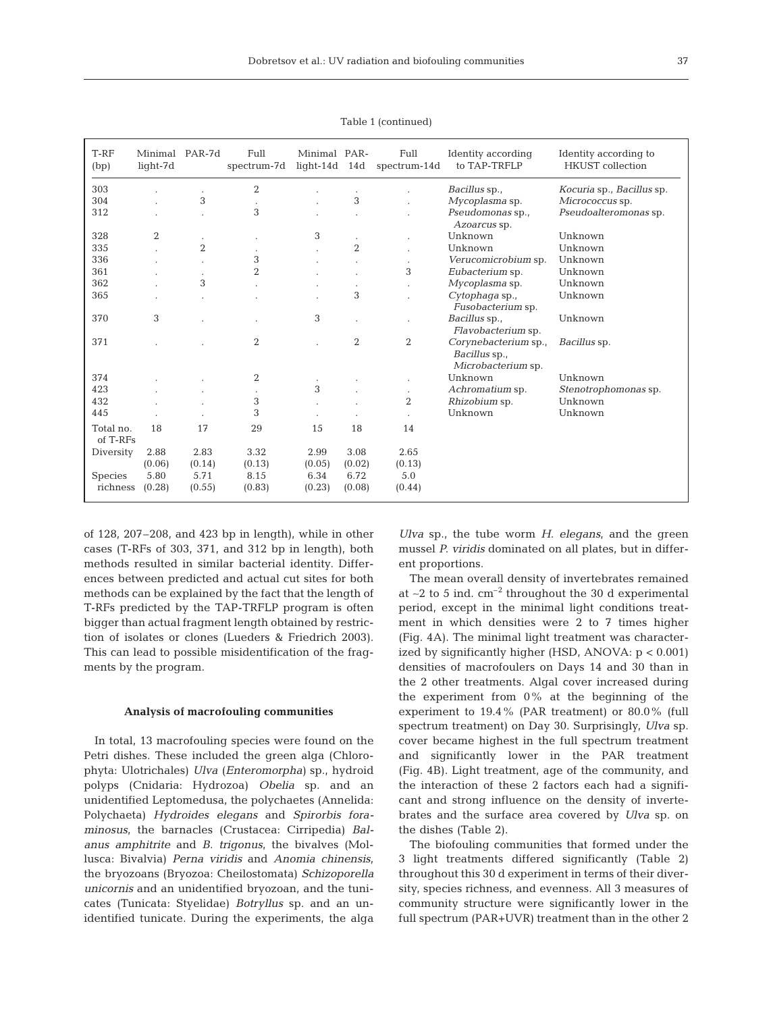| T-RF<br>(bp)          | Minimal PAR-7d<br>light-7d |                | Full<br>spectrum-7d | Minimal PAR-<br>$light-14d$ | 14d            | Full<br>spectrum-14d | Identity according<br>to TAP-TRFLP                          | Identity according to<br><b>HKUST</b> collection |  |
|-----------------------|----------------------------|----------------|---------------------|-----------------------------|----------------|----------------------|-------------------------------------------------------------|--------------------------------------------------|--|
| 303                   |                            |                | $\overline{2}$      |                             |                |                      | Bacillus sp.,                                               | Kocuria sp., Bacillus sp.                        |  |
| 304                   |                            | 3              |                     |                             | 3              |                      | Mycoplasma sp.                                              | Micrococcus sp.                                  |  |
| 312                   |                            |                | 3                   |                             |                |                      | Pseudomonas sp.,<br>Azoarcus sp.                            | Pseudoalteromonas sp.                            |  |
| 328                   | 2                          |                |                     | 3                           |                |                      | Unknown                                                     | Unknown                                          |  |
| 335                   |                            | $\overline{2}$ |                     |                             | $\overline{2}$ |                      | Unknown                                                     | Unknown                                          |  |
| 336                   |                            |                | 3                   |                             |                |                      | Verucomicrobium sp.                                         | Unknown                                          |  |
| 361                   |                            |                | $\overline{2}$      |                             |                | 3                    | Eubacterium sp.                                             | Unknown                                          |  |
| 362                   |                            | 3              |                     |                             |                |                      | Mycoplasma sp.                                              | Unknown                                          |  |
| 365                   |                            |                |                     |                             | 3              |                      | Cytophaga sp.,<br>Fusobacterium sp.                         | Unknown                                          |  |
| 370                   | 3                          |                |                     | 3                           |                |                      | Bacillus sp.,<br>Flavobacterium sp.                         | Unknown                                          |  |
| 371                   |                            |                | $\overline{2}$      |                             | $\overline{2}$ | 2                    | Corynebacterium sp.,<br>Bacillus sp.,<br>Microbacterium sp. | Bacillus sp.                                     |  |
| 374                   |                            |                | $\overline{2}$      |                             |                |                      | Unknown                                                     | Unknown                                          |  |
| 423                   |                            |                | $\bullet$           | 3                           |                | $\bullet$            | Achromatium sp.                                             | Stenotrophomonas sp.                             |  |
| 432                   |                            |                | 3                   |                             |                | $\overline{2}$       | Rhizobium sp.                                               | Unknown                                          |  |
| 445                   |                            |                | 3                   |                             |                | $\ddot{\phantom{0}}$ | Unknown                                                     | Unknown                                          |  |
| Total no.<br>of T-RFs | 18                         | 17             | 29                  | 15                          | 18             | 14                   |                                                             |                                                  |  |
| Diversity             | 2.88                       | 2.83           | 3.32                | 2.99                        | 3.08           | 2.65                 |                                                             |                                                  |  |
|                       | (0.06)                     | (0.14)         | (0.13)              | (0.05)                      | (0.02)         | (0.13)               |                                                             |                                                  |  |
| <b>Species</b>        | 5.80                       | 5.71           | 8.15                | 6.34                        | 6.72           | 5.0                  |                                                             |                                                  |  |
| richness              | (0.28)                     | (0.55)         | (0.83)              | (0.23)                      | (0.08)         | (0.44)               |                                                             |                                                  |  |

Table 1 (continued)

of 128, 207–208, and 423 bp in length), while in other cases (T-RFs of 303, 371, and 312 bp in length), both methods resulted in similar bacterial identity. Differences between predicted and actual cut sites for both methods can be explained by the fact that the length of T-RFs predicted by the TAP-TRFLP program is often bigger than actual fragment length obtained by restriction of isolates or clones (Lueders & Friedrich 2003). This can lead to possible misidentification of the fragments by the program.

## **Analysis of macrofouling communities**

In total, 13 macrofouling species were found on the Petri dishes. These included the green alga (Chlorophyta: Ulotrichales) *Ulva* (*Enteromorpha)* sp., hydroid polyps (Cnidaria: Hydrozoa) *Obelia* sp. and an unidentified Leptomedusa, the polychaetes (Annelida: Polychaeta) *Hydroides elegans* and *Spirorbis foraminosus*, the barnacles (Crustacea: Cirripedia) *Balanus amphitrite* and *B. trigonus*, the bivalves (Mollusca: Bivalvia) *Perna viridis* and *Anomia chinensis*, the bryozoans (Bryozoa: Cheilostomata) *Schizoporella unicornis* and an unidentified bryozoan, and the tunicates (Tunicata: Styelidae) *Botryllus* sp. and an unidentified tunicate. During the experiments, the alga *Ulva* sp., the tube worm *H. elegans*, and the green mussel *P. viridis* dominated on all plates, but in different proportions.

The mean overall density of invertebrates remained at ∼2 to 5 ind. cm–2 throughout the 30 d experimental period, except in the minimal light conditions treatment in which densities were 2 to 7 times higher (Fig. 4A). The minimal light treatment was characterized by significantly higher (HSD, ANOVA: p < 0.001) densities of macrofoulers on Days 14 and 30 than in the 2 other treatments. Algal cover increased during the experiment from 0% at the beginning of the experiment to 19.4% (PAR treatment) or 80.0% (full spectrum treatment) on Day 30. Surprisingly, *Ulva* sp. cover became highest in the full spectrum treatment and significantly lower in the PAR treatment (Fig. 4B). Light treatment, age of the community, and the interaction of these 2 factors each had a significant and strong influence on the density of invertebrates and the surface area covered by *Ulva* sp. on the dishes (Table 2).

The biofouling communities that formed under the 3 light treatments differed significantly (Table 2) throughout this 30 d experiment in terms of their diversity, species richness, and evenness. All 3 measures of community structure were significantly lower in the full spectrum (PAR+UVR) treatment than in the other 2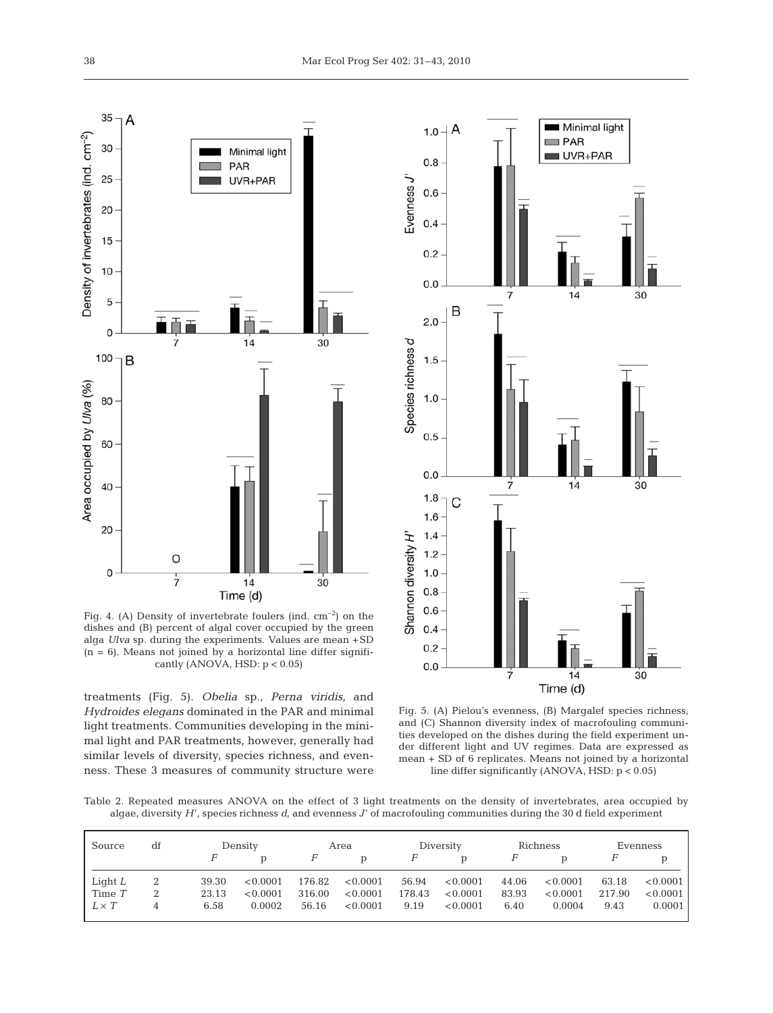

Fig. 4. (A) Density of invertebrate foulers (ind.  $cm^{-2}$ ) on the dishes and (B) percent of algal cover occupied by the green alga *Ulva* sp. during the experiments. Values are mean +SD  $(n = 6)$ . Means not joined by a horizontal line differ significantly (ANOVA, HSD:  $p < 0.05$ )

treatments (Fig. 5). *Obelia* sp., *Perna viridis*, and *Hydroides elegans* dominated in the PAR and minimal light treatments. Communities developing in the minimal light and PAR treatments, however, generally had similar levels of diversity, species richness, and evenness. These 3 measures of community structure were



Fig. 5. (A) Pielou's evenness, (B) Margalef species richness, and (C) Shannon diversity index of macrofouling communities developed on the dishes during the field experiment under different light and UV regimes. Data are expressed as mean + SD of 6 replicates. Means not joined by a horizontal line differ significantly (ANOVA, HSD: p < 0.05)

Table 2. Repeated measures ANOVA on the effect of 3 light treatments on the density of invertebrates, area occupied by algae, diversity *H*', species richness *d*, and evenness *J*' of macrofouling communities during the 30 d field experiment

| Source       | df | Density |          | Area   |          | Diversity |          | Richness     |          | Evenness |          |
|--------------|----|---------|----------|--------|----------|-----------|----------|--------------|----------|----------|----------|
|              |    |         |          | F      | D        |           | D        | $\mathsf{H}$ | D        |          |          |
| Light $L$    |    | 39.30   | < 0.0001 | 176.82 | < 0.0001 | 56.94     | < 0.0001 | 44.06        | < 0.0001 | 63.18    | < 0.0001 |
| Time $T$     |    | 23.13   | < 0.0001 | 316.00 | < 0.0001 | 178.43    | < 0.0001 | 83.93        | < 0.0001 | 217.90   | < 0.0001 |
| $L \times T$ | 4  | 6.58    | 0.0002   | 56.16  | < 0.0001 | 9.19      | < 0.0001 | 6.40         | 0.0004   | 9.43     | 0.0001   |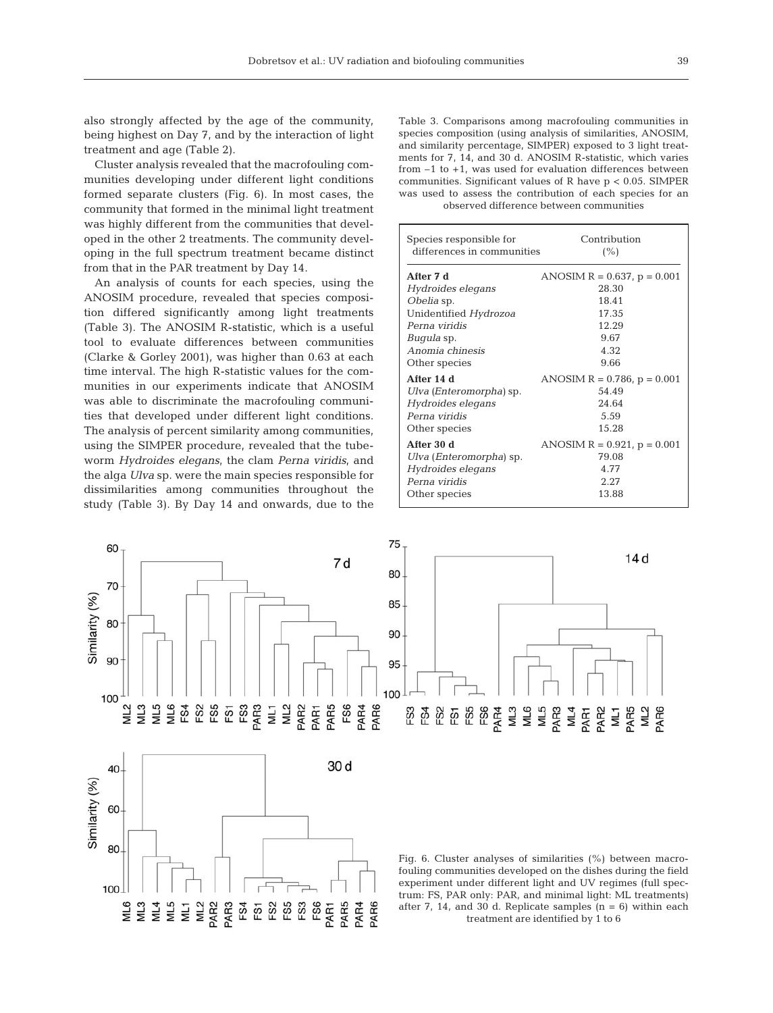also strongly affected by the age of the community, being highest on Day 7, and by the interaction of light treatment and age (Table 2).

Cluster analysis revealed that the macrofouling communities developing under different light conditions formed separate clusters (Fig. 6). In most cases, the community that formed in the minimal light treatment was highly different from the communities that developed in the other 2 treatments. The community developing in the full spectrum treatment became distinct from that in the PAR treatment by Day 14.

An analysis of counts for each species, using the ANOSIM procedure, revealed that species composition differed significantly among light treatments (Table 3). The ANOSIM R-statistic, which is a useful tool to evaluate differences between communities (Clarke & Gorley 2001), was higher than 0.63 at each time interval. The high R-statistic values for the communities in our experiments indicate that ANOSIM was able to discriminate the macrofouling communities that developed under different light conditions. The analysis of percent similarity among communities, using the SIMPER procedure, revealed that the tubeworm *Hydroides elegans*, the clam *Perna viridis*, and the alga *Ulva* sp. were the main species responsible for dissimilarities among communities throughout the study (Table 3). By Day 14 and onwards, due to the Table 3. Comparisons among macrofouling communities in species composition (using analysis of similarities, ANOSIM, and similarity percentage, SIMPER) exposed to 3 light treatments for 7, 14, and 30 d. ANOSIM R-statistic, which varies from –1 to +1, was used for evaluation differences between communities. Significant values of R have p < 0.05. SIMPER was used to assess the contribution of each species for an observed difference between communities

| Species responsible for    | Contribution                     |
|----------------------------|----------------------------------|
| differences in communities | (%)                              |
| After 7 d                  | ANOSIM $R = 0.637$ , $p = 0.001$ |
| Hydroides elegans          | 28.30                            |
| Obelia sp.                 | 18.41                            |
| Unidentified Hydrozoa      | 17.35                            |
| Perna viridis              | 12.29                            |
| <i>Buqula</i> sp.          | 9.67                             |
| Anomia chinesis            | 4.32                             |
| Other species              | 9.66                             |
| After 14 d                 | ANOSIM $R = 0.786$ , $p = 0.001$ |
| Ulva (Enteromorpha) sp.    | 54.49                            |
| Hydroides elegans          | 24.64                            |
| Perna viridis              | 5.59                             |
| Other species              | 15.28                            |
| After 30 d                 | ANOSIM $R = 0.921$ , $p = 0.001$ |
| Ulva (Enteromorpha) sp.    | 79.08                            |
| Hydroides elegans          | 4.77                             |
| Perna viridis              | 2.27                             |
| Other species              | 13.88                            |

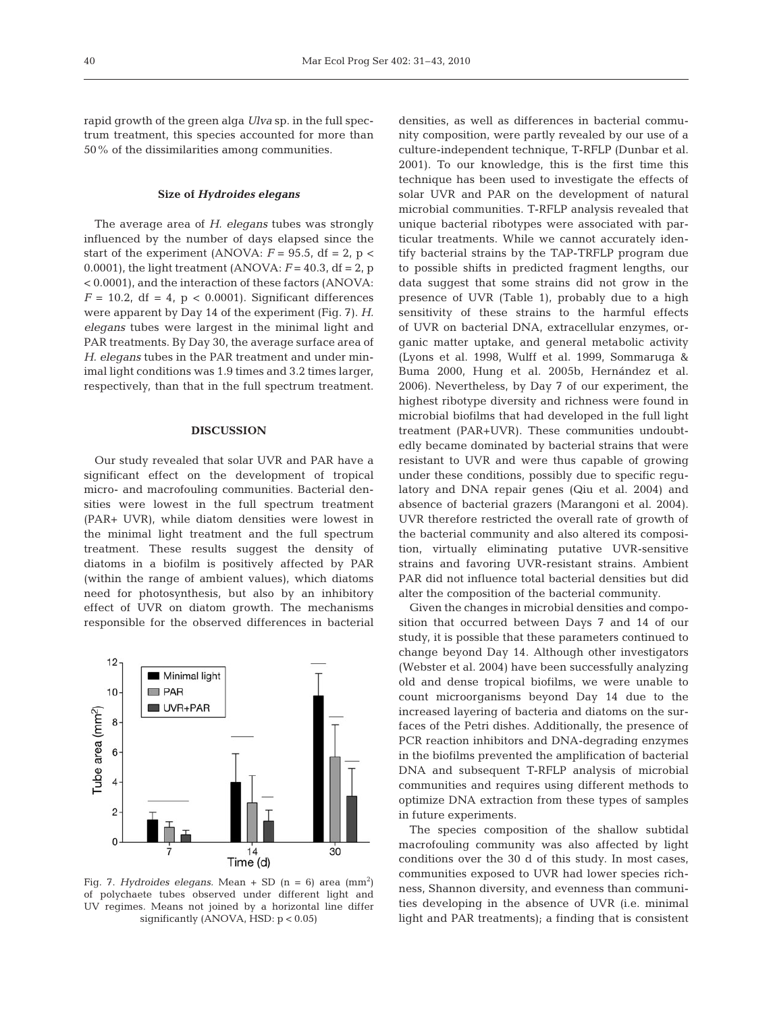rapid growth of the green alga *Ulva* sp. in the full spectrum treatment, this species accounted for more than 50% of the dissimilarities among communities.

## **Size of** *Hydroides elegans*

The average area of *H. elegans* tubes was strongly influenced by the number of days elapsed since the start of the experiment (ANOVA:  $F = 95.5$ , df = 2, p < 0.0001), the light treatment (ANOVA:  $F = 40.3$ , df = 2, p < 0.0001), and the interaction of these factors (ANOVA:  $F = 10.2$ , df = 4, p < 0.0001). Significant differences were apparent by Day 14 of the experiment (Fig. 7). *H. elegans* tubes were largest in the minimal light and PAR treatments. By Day 30, the average surface area of *H. elegans* tubes in the PAR treatment and under minimal light conditions was 1.9 times and 3.2 times larger, respectively, than that in the full spectrum treatment.

# **DISCUSSION**

Our study revealed that solar UVR and PAR have a significant effect on the development of tropical micro- and macrofouling communities. Bacterial densities were lowest in the full spectrum treatment (PAR+ UVR), while diatom densities were lowest in the minimal light treatment and the full spectrum treatment. These results suggest the density of diatoms in a biofilm is positively affected by PAR (within the range of ambient values), which diatoms need for photosynthesis, but also by an inhibitory effect of UVR on diatom growth. The mechanisms responsible for the observed differences in bacterial



Fig. 7. *Hydroides elegans.* Mean + SD  $(n = 6)$  area  $(mm^2)$ of polychaete tubes observed under different light and UV regimes. Means not joined by a horizontal line differ significantly (ANOVA, HSD: p < 0.05)

densities, as well as differences in bacterial community composition, were partly revealed by our use of a culture-independent technique, T-RFLP (Dunbar et al. 2001). To our knowledge, this is the first time this technique has been used to investigate the effects of solar UVR and PAR on the development of natural microbial communities. T-RFLP analysis revealed that unique bacterial ribotypes were associated with particular treatments. While we cannot accurately identify bacterial strains by the TAP-TRFLP program due to possible shifts in predicted fragment lengths, our data suggest that some strains did not grow in the presence of UVR (Table 1), probably due to a high sensitivity of these strains to the harmful effects of UVR on bacterial DNA, extracellular enzymes, organic matter uptake, and general metabolic activity (Lyons et al. 1998, Wulff et al. 1999, Sommaruga & Buma 2000, Hung et al. 2005b, Hernández et al. 2006). Nevertheless, by Day 7 of our experiment, the highest ribotype diversity and richness were found in microbial biofilms that had developed in the full light treatment (PAR+UVR). These communities undoubtedly became dominated by bacterial strains that were resistant to UVR and were thus capable of growing under these conditions, possibly due to specific regulatory and DNA repair genes (Qiu et al. 2004) and absence of bacterial grazers (Marangoni et al. 2004). UVR therefore restricted the overall rate of growth of the bacterial community and also altered its composition, virtually eliminating putative UVR-sensitive strains and favoring UVR-resistant strains. Ambient PAR did not influence total bacterial densities but did alter the composition of the bacterial community.

Given the changes in microbial densities and composition that occurred between Days 7 and 14 of our study, it is possible that these parameters continued to change beyond Day 14. Although other investigators (Webster et al. 2004) have been successfully analyzing old and dense tropical biofilms, we were unable to count microorganisms beyond Day 14 due to the increased layering of bacteria and diatoms on the surfaces of the Petri dishes. Additionally, the presence of PCR reaction inhibitors and DNA-degrading enzymes in the biofilms prevented the amplification of bacterial DNA and subsequent T-RFLP analysis of microbial communities and requires using different methods to optimize DNA extraction from these types of samples in future experiments.

The species composition of the shallow subtidal macrofouling community was also affected by light conditions over the 30 d of this study. In most cases, communities exposed to UVR had lower species richness, Shannon diversity, and evenness than communities developing in the absence of UVR (i.e. minimal light and PAR treatments); a finding that is consistent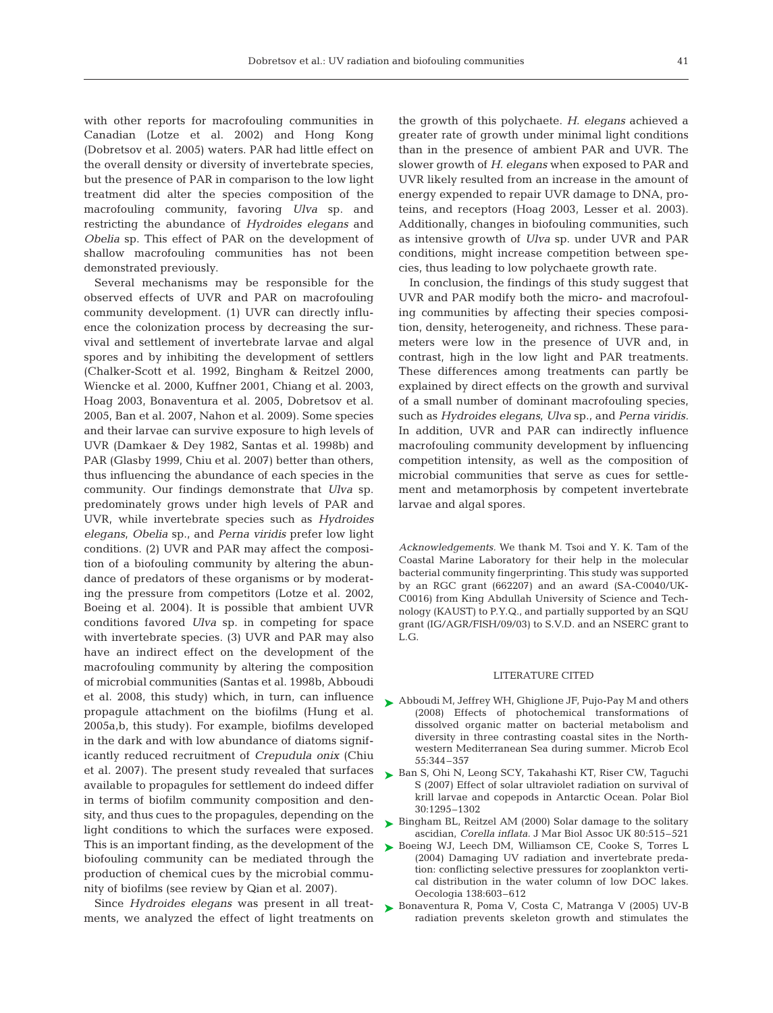with other reports for macrofouling communities in Canadian (Lotze et al. 2002) and Hong Kong (Dobretsov et al. 2005) waters. PAR had little effect on the overall density or diversity of invertebrate species, but the presence of PAR in comparison to the low light treatment did alter the species composition of the macrofouling community, favoring *Ulva* sp. and restricting the abundance of *Hydroides elegans* and *Obelia* sp. This effect of PAR on the development of shallow macrofouling communities has not been demonstrated previously.

Several mechanisms may be responsible for the observed effects of UVR and PAR on macrofouling community development. (1) UVR can directly influence the colonization process by decreasing the survival and settlement of invertebrate larvae and algal spores and by inhibiting the development of settlers (Chalker-Scott et al. 1992, Bingham & Reitzel 2000, Wiencke et al. 2000, Kuffner 2001, Chiang et al. 2003, Hoag 2003, Bonaventura et al. 2005, Dobretsov et al. 2005, Ban et al. 2007, Nahon et al. 2009). Some species and their larvae can survive exposure to high levels of UVR (Damkaer & Dey 1982, Santas et al. 1998b) and PAR (Glasby 1999, Chiu et al. 2007) better than others, thus influencing the abundance of each species in the community. Our findings demonstrate that *Ulva* sp. predominately grows under high levels of PAR and UVR, while invertebrate species such as *Hydroides elegans*, *Obelia* sp., and *Perna viridis* prefer low light conditions. (2) UVR and PAR may affect the composition of a biofouling community by altering the abundance of predators of these organisms or by moderating the pressure from competitors (Lotze et al. 2002, Boeing et al. 2004). It is possible that ambient UVR conditions favored *Ulva* sp. in competing for space with invertebrate species. (3) UVR and PAR may also have an indirect effect on the development of the macrofouling community by altering the composition of microbial communities (Santas et al. 1998b, Abboudi et al. 2008, this study) which, in turn, can influence propagule attachment on the biofilms (Hung et al. 2005a,b, this study). For example, biofilms developed in the dark and with low abundance of diatoms significantly reduced recruitment of *Crepudula onix* (Chiu et al. 2007). The present study revealed that surfaces available to propagules for settlement do indeed differ in terms of biofilm community composition and density, and thus cues to the propagules, depending on the light conditions to which the surfaces were exposed. This is an important finding, as the development of the biofouling community can be mediated through the production of chemical cues by the microbial community of biofilms (see review by Qian et al. 2007).

Since *Hydroides elegans* was present in all treatments, we analyzed the effect of light treatments on the growth of this polychaete. *H. elegans* achieved a greater rate of growth under minimal light conditions than in the presence of ambient PAR and UVR. The slower growth of *H. elegans* when exposed to PAR and UVR likely resulted from an increase in the amount of energy expended to repair UVR damage to DNA, proteins, and receptors (Hoag 2003, Lesser et al. 2003). Additionally, changes in biofouling communities, such as intensive growth of *Ulva* sp. under UVR and PAR conditions, might increase competition between species, thus leading to low polychaete growth rate.

In conclusion, the findings of this study suggest that UVR and PAR modify both the micro- and macrofouling communities by affecting their species composition, density, heterogeneity, and richness. These parameters were low in the presence of UVR and, in contrast, high in the low light and PAR treatments. These differences among treatments can partly be explained by direct effects on the growth and survival of a small number of dominant macrofouling species, such as *Hydroides elegans*, *Ulva* sp., and *Perna viridis.* In addition, UVR and PAR can indirectly influence macrofouling community development by influencing competition intensity, as well as the composition of microbial communities that serve as cues for settlement and metamorphosis by competent invertebrate larvae and algal spores.

*Acknowledgements.* We thank M. Tsoi and Y. K. Tam of the Coastal Marine Laboratory for their help in the molecular bacterial community fingerprinting. This study was supported by an RGC grant (662207) and an award (SA-C0040/UK-C0016) from King Abdullah University of Science and Technology (KAUST) to P.Y.Q., and partially supported by an SQU grant (IG/AGR/FISH/09/03) to S.V.D. and an NSERC grant to L.G.

## LITERATURE CITED

- Abboudi M, Jeffrey WH, Ghiglione JF, Pujo-Pay M and others ➤ (2008) Effects of photochemical transformations of dissolved organic matter on bacterial metabolism and diversity in three contrasting coastal sites in the Northwestern Mediterranean Sea during summer. Microb Ecol 55:344–357
- ► Ban S, Ohi N, Leong SCY, Takahashi KT, Riser CW, Taguchi S (2007) Effect of solar ultraviolet radiation on survival of krill larvae and copepods in Antarctic Ocean. Polar Biol 30:1295–1302
- ► Bingham BL, Reitzel AM (2000) Solar damage to the solitary ascidian, *Corella inflata.* J Mar Biol Assoc UK 80:515–521
- ▶ Boeing WJ, Leech DM, Williamson CE, Cooke S, Torres L (2004) Damaging UV radiation and invertebrate predation: conflicting selective pressures for zooplankton vertical distribution in the water column of low DOC lakes. Oecologia 138:603–612
- ► Bonaventura R, Poma V, Costa C, Matranga V (2005) UV-B radiation prevents skeleton growth and stimulates the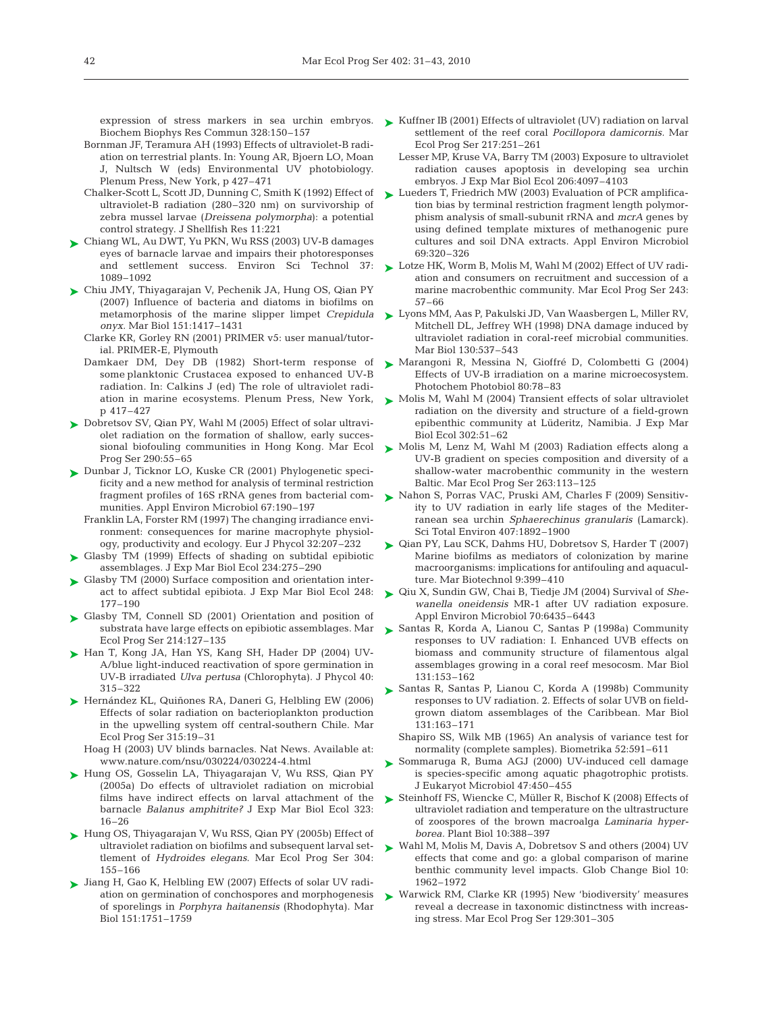Biochem Biophys Res Commun 328:150–157

- Bornman JF, Teramura AH (1993) Effects of ultraviolet-B radiation on terrestrial plants. In: Young AR, Bjoern LO, Moan J, Nultsch W (eds) Environmental UV photobiology. Plenum Press, New York, p 427–471
- Chalker-Scott L, Scott JD, Dunning C, Smith K (1992) Effect of ultraviolet-B radiation (280–320 nm) on survivorship of zebra mussel larvae (*Dreissena polymorpha*): a potential control strategy. J Shellfish Res 11:221
- Chiang WL, Au DWT, Yu PKN, Wu RSS (2003) UV-B damages ➤ eyes of barnacle larvae and impairs their photoresponses 1089–1092
- ► Chiu JMY, Thiyagarajan V, Pechenik JA, Hung OS, Qian PY (2007) Influence of bacteria and diatoms in biofilms on metamorphosis of the marine slipper limpet *Crepidula onyx.* Mar Biol 151:1417–1431
	- Clarke KR, Gorley RN (2001) PRIMER v5: user manual/tutorial. PRIMER-E, Plymouth
	- Damkaer DM, Dey DB (1982) Short-term response of some planktonic Crustacea exposed to enhanced UV-B radiation. In: Calkins J (ed) The role of ultraviolet radip 417–427
- ► Dobretsov SV, Qian PY, Wahl M (2005) Effect of solar ultraviolet radiation on the formation of shallow, early successional biofouling communities in Hong Kong. Mar Ecol Prog Ser 290:55–65
- ► Dunbar J, Ticknor LO, Kuske CR (2001) Phylogenetic specificity and a new method for analysis of terminal restriction fragment profiles of 16S rRNA genes from bacterial communities. Appl Environ Microbiol 67:190–197
	- Franklin LA, Forster RM (1997) The changing irradiance environment: consequences for marine macrophyte physiology, productivity and ecology. Eur J Phycol 32:207–232
- ► Glasby TM (1999) Effects of shading on subtidal epibiotic assemblages. J Exp Mar Biol Ecol 234:275–290
- ► Glasby TM (2000) Surface composition and orientation interact to affect subtidal epibiota. J Exp Mar Biol Ecol 248: 177–190
- ▶ Glasby TM, Connell SD (2001) Orientation and position of substrata have large effects on epibiotic assemblages. Mar Ecol Prog Ser 214:127–135
- ► Han T, Kong JA, Han YS, Kang SH, Hader DP (2004) UV-A/blue light-induced reactivation of spore germination in UV-B irradiated *Ulva pertusa* (Chlorophyta). J Phycol 40: 315–322
- ▶ Hernández KL, Quiñones RA, Daneri G, Helbling EW (2006) Effects of solar radiation on bacterioplankton production in the upwelling system off central-southern Chile. Mar Ecol Prog Ser 315:19–31
	- Hoag H (2003) UV blinds barnacles. Nat News. Available at: www.nature.com/nsu/030224/030224-4.html
- Hung OS, Gosselin LA, Thiyagarajan V, Wu RSS, Qian PY ➤ (2005a) Do effects of ultraviolet radiation on microbial films have indirect effects on larval attachment of the barnacle *Balanus amphitrite?* J Exp Mar Biol Ecol 323: 16–26
- ► Hung OS, Thiyagarajan V, Wu RSS, Qian PY (2005b) Effect of ultraviolet radiation on biofilms and subsequent larval settlement of *Hydroides elegans*. Mar Ecol Prog Ser 304: 155–166
- ► Jiang H, Gao K, Helbling EW (2007) Effects of solar UV radiation on germination of conchospores and morphogenesis of sporelings in *Porphyra haitanensis* (Rhodophyta). Mar Biol 151:1751–1759
- expression of stress markers in sea urchin embryos. Kuffner IB (2001) Effects of ultraviolet (UV) radiation on larval settlement of the reef coral *Pocillopora damicornis.* Mar Ecol Prog Ser 217:251–261
	- Lesser MP, Kruse VA, Barry TM (2003) Exposure to ultraviolet radiation causes apoptosis in developing sea urchin embryos. J Exp Mar Biol Ecol 206:4097–4103
	- ► Lueders T, Friedrich MW (2003) Evaluation of PCR amplification bias by terminal restriction fragment length polymorphism analysis of small-subunit rRNA and *mcrA* genes by using defined template mixtures of methanogenic pure cultures and soil DNA extracts. Appl Environ Microbiol 69:320–326
- and settlement success. Environ Sci Technol 37: Lotze HK, Worm B, Molis M, Wahl M (2002) Effect of UV radiation and consumers on recruitment and succession of a marine macrobenthic community. Mar Ecol Prog Ser 243: 57–66
	- ► Lyons MM, Aas P, Pakulski JD, Van Waasbergen L, Miller RV, Mitchell DL, Jeffrey WH (1998) DNA damage induced by ultraviolet radiation in coral-reef microbial communities. Mar Biol 130:537–543
	- ► Marangoni R, Messina N, Gioffré D, Colombetti G (2004) Effects of UV-B irradiation on a marine microecosystem. Photochem Photobiol 80:78–83
- ation in marine ecosystems. Plenum Press, New York,  $\longrightarrow$  Molis M, Wahl M (2004) Transient effects of solar ultraviolet radiation on the diversity and structure of a field-grown epibenthic community at Lüderitz, Namibia. J Exp Mar Biol Ecol 302:51–62
	- ► Molis M, Lenz M, Wahl M (2003) Radiation effects along a UV-B gradient on species composition and diversity of a shallow-water macrobenthic community in the western Baltic. Mar Ecol Prog Ser 263:113–125
	- ► Nahon S, Porras VAC, Pruski AM, Charles F (2009) Sensitivity to UV radiation in early life stages of the Mediterranean sea urchin *Sphaerechinus granularis* (Lamarck). Sci Total Environ 407:1892–1900
	- ▶ Qian PY, Lau SCK, Dahms HU, Dobretsov S, Harder T (2007) Marine biofilms as mediators of colonization by marine macroorganisms: implications for antifouling and aquaculture. Mar Biotechnol 9:399–410
	- Qiu X, Sundin GW, Chai B, Tiedje JM (2004) Survival of *She-*➤ *wanella oneidensis* MR-1 after UV radiation exposure. Appl Environ Microbiol 70:6435–6443
	- ► Santas R, Korda A, Lianou C, Santas P (1998a) Community responses to UV radiation: I. Enhanced UVB effects on biomass and community structure of filamentous algal assemblages growing in a coral reef mesocosm. Mar Biol 131:153–162
	- Santas R, Santas P, Lianou C, Korda A (1998b) Community ➤ responses to UV radiation. 2. Effects of solar UVB on fieldgrown diatom assemblages of the Caribbean. Mar Biol 131:163–171
		- Shapiro SS, Wilk MB (1965) An analysis of variance test for normality (complete samples). Biometrika 52:591–611
	- ► Sommaruga R, Buma AGJ (2000) UV-induced cell damage is species-specific among aquatic phagotrophic protists. J Eukaryot Microbiol 47:450–455
	- ▶ Steinhoff FS, Wiencke C, Müller R, Bischof K (2008) Effects of ultraviolet radiation and temperature on the ultrastructure of zoospores of the brown macroalga *Laminaria hyperborea.* Plant Biol 10:388–397
	- ► Wahl M, Molis M, Davis A, Dobretsov S and others (2004) UV effects that come and go: a global comparison of marine benthic community level impacts. Glob Change Biol 10: 1962–1972
	- ► Warwick RM, Clarke KR (1995) New 'biodiversity' measures reveal a decrease in taxonomic distinctness with increasing stress. Mar Ecol Prog Ser 129:301–305